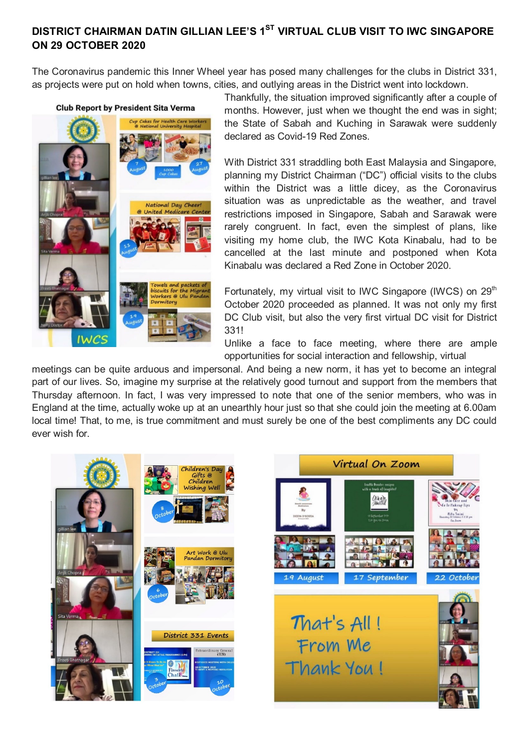## **DISTRICT CHAIRMAN DATIN GILLIAN LEE'S 1<sup>ST</sup> VIRTUAL CLUB VISIT TO IWC SINGAPORE ON 29 OCTOBER 2020**

The Coronavirus pandemic this Inner Wheel year has posed many challenges for the clubs in District 331, as projects were put on hold when towns, cities, and outlying areas in the District went into lockdown.

## **Club Report by President Sita Verma**



Thankfully, the situation improved significantly after a couple of months. However, just when we thought the end was in sight; the State of Sabah and Kuching in Sarawak were suddenly declared as Covid-19 Red Zones.

With District 331 straddling both East Malaysia and Singapore, planning my District Chairman ("DC") official visits to the clubs within the District was a little dicey, as the Coronavirus situation was as unpredictable as the weather, and travel restrictions imposed in Singapore, Sabah and Sarawak were rarely congruent. In fact, even the simplest of plans, like visiting my home club, the IWC Kota Kinabalu, had to be cancelled at the last minute and postponed when Kota Kinabalu was declared a Red Zone in October 2020.

Fortunately, my virtual visit to IWC Singapore (IWCS) on  $29<sup>th</sup>$ October 2020 proceeded as planned. It was not only my first DC Club visit, but also the very first virtual DC visit for District 331!

Unlike a face to face meeting, where there are ample opportunities for social interaction and fellowship, virtual

meetings can be quite arduous and impersonal. And being a new norm, it has yet to become an integral part of our lives. So, imagine my surprise at the relatively good turnout and support from the members that Thursday afternoon. In fact, I was very impressed to note that one of the senior members, who was in England at the time, actually woke up at an unearthly hour just so that she could join the meeting at 6.00am local time! That, to me, is true commitment and must surely be one of the best compliments any DC could ever wish for.